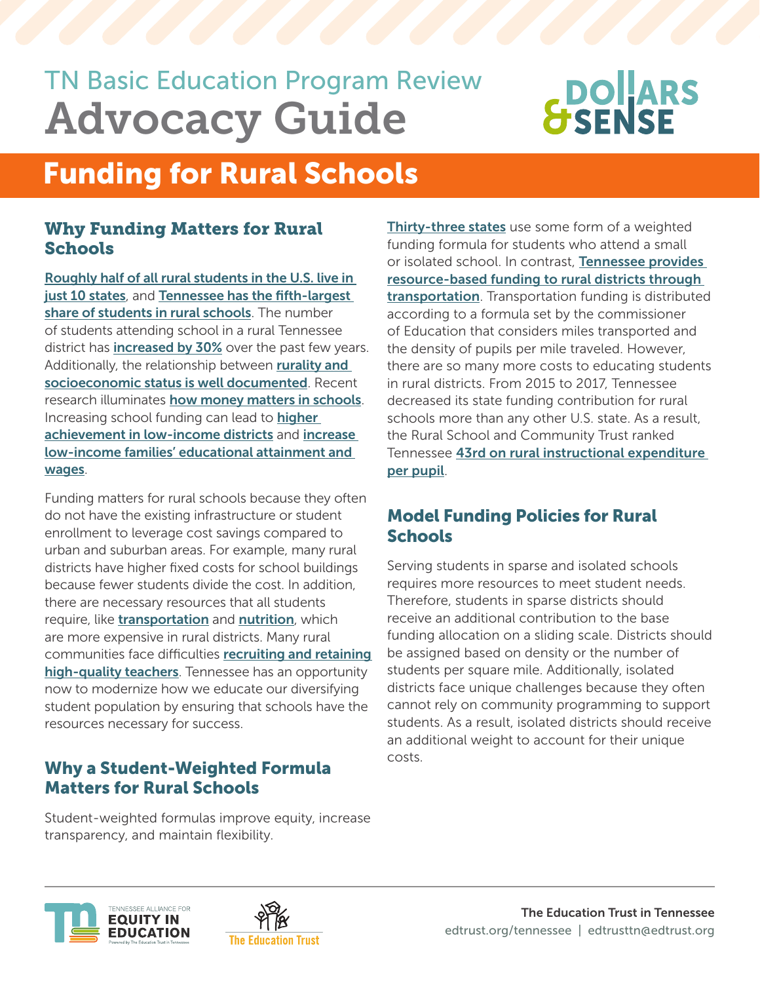## TN Basic Education Program Review Advocacy Guide

# **BOLARS**

### Funding for Rural Schools

#### Why Funding Matters for Rural **Schools**

[Roughly half of all rural students in the U.S. live in](http://www.ruraledu.org/WhyRuralMatters.pdf)  [just 10 states](http://www.ruraledu.org/WhyRuralMatters.pdf), and Tennessee has the fifth-largest [share of students in rural schools](http://www.ruraledu.org/WhyRuralMatters.pdf). The number of students attending school in a rural Tennessee district has *[increased by 30%](http://www.ruraledu.org/WhyRuralMatters.pdf)* over the past few years. Additionally, the relationship between **rurality and** [socioeconomic status is well documented](https://www.degruyter.com/document/doi/10.7312/tick17222/html). Recent research illuminates [how money matters in schools](https://www.nber.org/papers/w20847). Increasing school funding can lead to **higher** [achievement in low-income districts](https://www.nber.org/papers/w22011) and [increase](https://www.nber.org/papers/w20847)  [low-income families' educational attainment and](https://www.nber.org/papers/w20847)  [wages](https://www.nber.org/papers/w20847).

Funding matters for rural schools because they often do not have the existing infrastructure or student enrollment to leverage cost savings compared to urban and suburban areas. For example, many rural districts have higher fixed costs for school buildings because fewer students divide the cost. In addition, there are necessary resources that all students require, like *[transportation](http://www.ruraledu.org/WhyRuralMatters.pdf)* and **[nutrition](https://schoolnutrition.org/uploadedFiles/5_News_and_Publications/4_The_Journal_of_Child_Nutrition_and_Management/Spring_2018/Operating-School-Meals-in-Rural-Districts-Challenges-and-Solutions-Spring2018.pdf)**, which are more expensive in rural districts. Many rural communities face difficulties [recruiting and retaining](https://educationnorthwest.org/resources/recruiting-and-retaining-rural-educators-challenges-and-strategies)  [high-quality teachers](https://educationnorthwest.org/resources/recruiting-and-retaining-rural-educators-challenges-and-strategies). Tennessee has an opportunity now to modernize how we educate our diversifying student population by ensuring that schools have the resources necessary for success.

#### Why a Student-Weighted Formula Matters for Rural Schools

Student-weighted formulas improve equity, increase transparency, and maintain flexibility.





[Thirty-three states](https://reports.ecs.org/comparisons/k-12-and-special-education-funding-08) use some form of a weighted funding formula for students who attend a small or isolated school. In contrast, Tennessee provides [resource-based funding to rural districts through](https://www.tn.gov/content/dam/tn/stateboardofeducation/documents/bepcommitteeactivities/2020/BEPBlueBookFY21.pdf)  [transportation](https://www.tn.gov/content/dam/tn/stateboardofeducation/documents/bepcommitteeactivities/2020/BEPBlueBookFY21.pdf). Transportation funding is distributed according to a formula set by the commissioner of Education that considers miles transported and the density of pupils per mile traveled. However, there are so many more costs to educating students in rural districts. From 2015 to 2017, Tennessee decreased its state funding contribution for rural schools more than any other U.S. state. As a result, the Rural School and Community Trust ranked Tennessee [43rd on rural instructional expenditure](http://www.ruraledu.org/WhyRuralMatters.pdf)  [per pupil](http://www.ruraledu.org/WhyRuralMatters.pdf).

#### Model Funding Policies for Rural **Schools**

Serving students in sparse and isolated schools requires more resources to meet student needs. Therefore, students in sparse districts should receive an additional contribution to the base funding allocation on a sliding scale. Districts should be assigned based on density or the number of students per square mile. Additionally, isolated districts face unique challenges because they often cannot rely on community programming to support students. As a result, isolated districts should receive an additional weight to account for their unique costs.